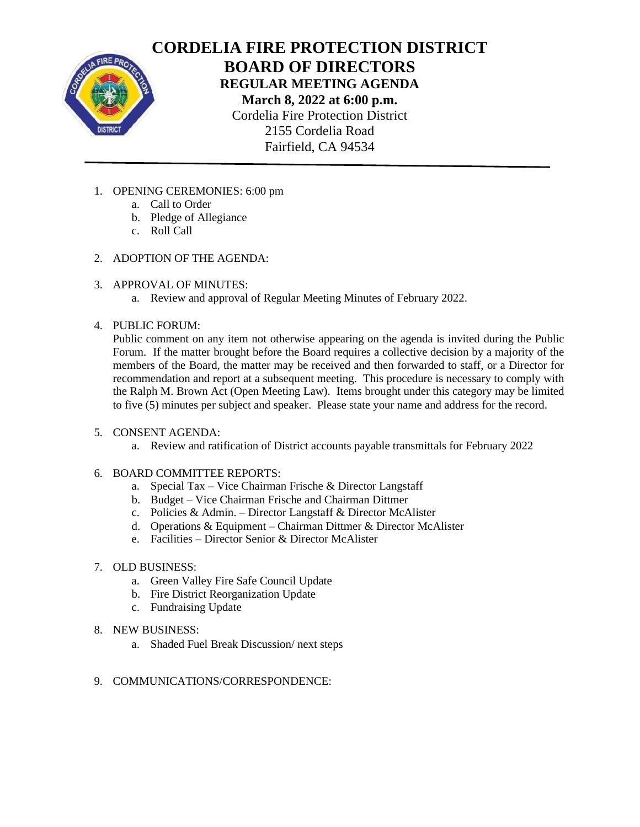

# **CORDELIA FIRE PROTECTION DISTRICT BOARD OF DIRECTORS REGULAR MEETING AGENDA March 8, 2022 at 6:00 p.m.** Cordelia Fire Protection District 2155 Cordelia Road Fairfield, CA 94534

- 1. OPENING CEREMONIES: 6:00 pm
	- a. Call to Order
	- b. Pledge of Allegiance
	- c. Roll Call
- 2. ADOPTION OF THE AGENDA:
- 3. APPROVAL OF MINUTES:
	- a. Review and approval of Regular Meeting Minutes of February 2022.
- 4. PUBLIC FORUM:

Public comment on any item not otherwise appearing on the agenda is invited during the Public Forum. If the matter brought before the Board requires a collective decision by a majority of the members of the Board, the matter may be received and then forwarded to staff, or a Director for recommendation and report at a subsequent meeting. This procedure is necessary to comply with the Ralph M. Brown Act (Open Meeting Law). Items brought under this category may be limited to five (5) minutes per subject and speaker. Please state your name and address for the record.

- 5. CONSENT AGENDA:
	- a. Review and ratification of District accounts payable transmittals for February 2022
- 6. BOARD COMMITTEE REPORTS:
	- a. Special Tax Vice Chairman Frische & Director Langstaff
	- b. Budget Vice Chairman Frische and Chairman Dittmer
	- c. Policies & Admin. Director Langstaff & Director McAlister
	- d. Operations & Equipment Chairman Dittmer & Director McAlister
	- e. Facilities Director Senior & Director McAlister
- 7. OLD BUSINESS:
	- a. Green Valley Fire Safe Council Update
	- b. Fire District Reorganization Update
	- c. Fundraising Update
- 8. NEW BUSINESS:
	- a. Shaded Fuel Break Discussion/ next steps
- 9. COMMUNICATIONS/CORRESPONDENCE: